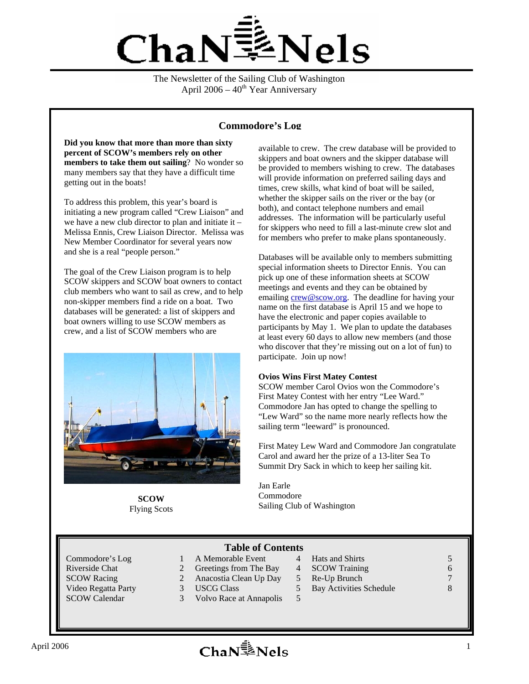

The Newsletter of the Sailing Club of Washington April  $2006 - 40<sup>th</sup>$  Year Anniversary

#### **Commodore's Log**

**Did you know that more than more than sixty percent of SCOW's members rely on other members to take them out sailing**? No wonder so many members say that they have a difficult time getting out in the boats!

To address this problem, this year's board is initiating a new program called "Crew Liaison" and we have a new club director to plan and initiate it – Melissa Ennis, Crew Liaison Director. Melissa was New Member Coordinator for several years now and she is a real "people person."

The goal of the Crew Liaison program is to help SCOW skippers and SCOW boat owners to contact club members who want to sail as crew, and to help non-skipper members find a ride on a boat. Two databases will be generated: a list of skippers and boat owners willing to use SCOW members as crew, and a list of SCOW members who are



**SCOW**  Flying Scots

available to crew. The crew database will be provided to skippers and boat owners and the skipper database will be provided to members wishing to crew. The databases will provide information on preferred sailing days and times, crew skills, what kind of boat will be sailed, whether the skipper sails on the river or the bay (or both), and contact telephone numbers and email addresses. The information will be particularly useful for skippers who need to fill a last-minute crew slot and for members who prefer to make plans spontaneously.

Databases will be available only to members submitting special information sheets to Director Ennis. You can pick up one of these information sheets at SCOW meetings and events and they can be obtained by emailing crew@scow.org. The deadline for having your name on the first database is April 15 and we hope to have the electronic and paper copies available to participants by May 1. We plan to update the databases at least every 60 days to allow new members (and those who discover that they're missing out on a lot of fun) to participate. Join up now!

#### **Ovios Wins First Matey Contest**

SCOW member Carol Ovios won the Commodore's First Matey Contest with her entry "Lee Ward." Commodore Jan has opted to change the spelling to "Lew Ward" so the name more nearly reflects how the sailing term "leeward" is pronounced.

First Matey Lew Ward and Commodore Jan congratulate Carol and award her the prize of a 13-liter Sea To Summit Dry Sack in which to keep her sailing kit.

Jan Earle Commodore Sailing Club of Washington

#### **Table of Contents**

- Commodore's Log 1 A Memorable Event 4 Hats and Shirts 5 5 Video Regatta Party 3 USCG Class 5 Bay Activities Schedule 8<br>SCOW Calendar 3 Volvo Race at Annapolis 5
- Riverside Chat 2 Greetings from The Bay 4 SCOW Training 6 6 SCOW Racing 2 Anacostia Clean Up Day 5 Re-Up Brunch 7 7
	-
	- 3 Volvo Race at Annapolis 5
- 
-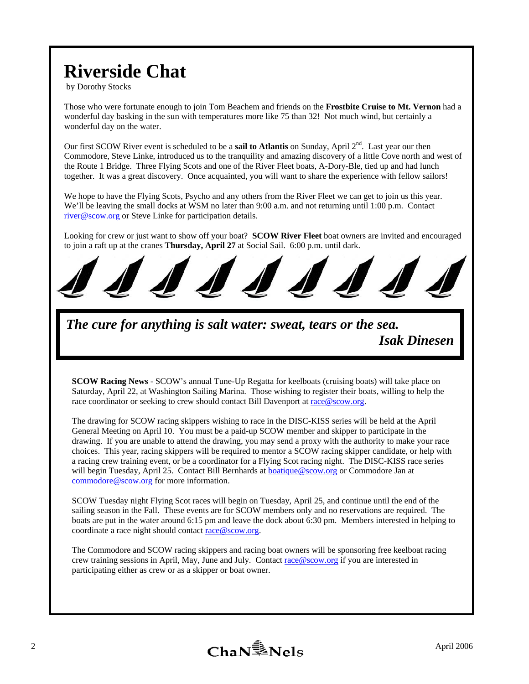# **Riverside Chat**

by Dorothy Stocks

Those who were fortunate enough to join Tom Beachem and friends on the **Frostbite Cruise to Mt. Vernon** had a wonderful day basking in the sun with temperatures more like 75 than 32! Not much wind, but certainly a wonderful day on the water.

Our first SCOW River event is scheduled to be a **sail to Atlantis** on Sunday, April 2<sup>nd</sup>. Last year our then Commodore, Steve Linke, introduced us to the tranquility and amazing discovery of a little Cove north and west of the Route 1 Bridge. Three Flying Scots and one of the River Fleet boats, A-Dory-Ble, tied up and had lunch together. It was a great discovery. Once acquainted, you will want to share the experience with fellow sailors!

We hope to have the Flying Scots, Psycho and any others from the River Fleet we can get to join us this year. We'll be leaving the small docks at WSM no later than 9:00 a.m. and not returning until 1:00 p.m. Contact river@scow.org or Steve Linke for participation details.

Looking for crew or just want to show off your boat? **SCOW River Fleet** boat owners are invited and encouraged to join a raft up at the cranes **Thursday, April 27** at Social Sail. 6:00 p.m. until dark.



*The cure for anything is salt water: sweat, tears or the sea. Isak Dinesen*

**SCOW Racing News** - SCOW's annual Tune-Up Regatta for keelboats (cruising boats) will take place on Saturday, April 22, at Washington Sailing Marina. Those wishing to register their boats, willing to help the race coordinator or seeking to crew should contact Bill Davenport at race@scow.org.

The drawing for SCOW racing skippers wishing to race in the DISC-KISS series will be held at the April General Meeting on April 10. You must be a paid-up SCOW member and skipper to participate in the drawing. If you are unable to attend the drawing, you may send a proxy with the authority to make your race choices. This year, racing skippers will be required to mentor a SCOW racing skipper candidate, or help with a racing crew training event, or be a coordinator for a Flying Scot racing night. The DISC-KISS race series will begin Tuesday, April 25. Contact Bill Bernhards at **boatique@scow.org** or Commodore Jan at commodore@scow.org for more information.

SCOW Tuesday night Flying Scot races will begin on Tuesday, April 25, and continue until the end of the sailing season in the Fall. These events are for SCOW members only and no reservations are required. The boats are put in the water around 6:15 pm and leave the dock about 6:30 pm. Members interested in helping to coordinate a race night should contact race@scow.org.

The Commodore and SCOW racing skippers and racing boat owners will be sponsoring free keelboat racing crew training sessions in April, May, June and July. Contact race@scow.org if you are interested in participating either as crew or as a skipper or boat owner.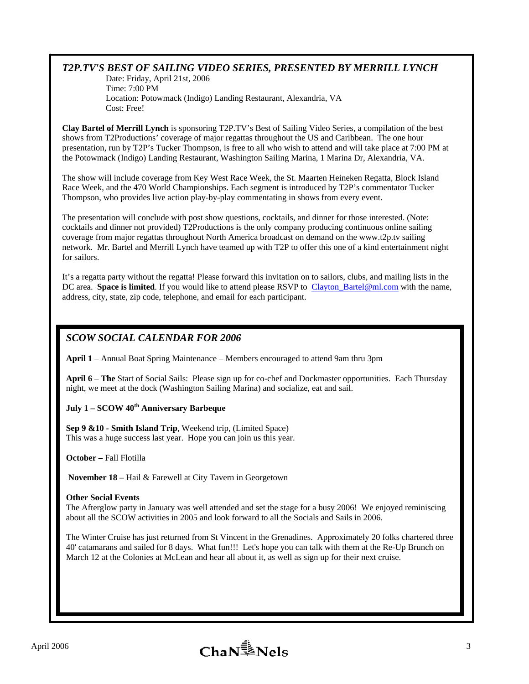#### *T2P.TV'S BEST OF SAILING VIDEO SERIES, PRESENTED BY MERRILL LYNCH*

Date: Friday, April 21st, 2006 Time: 7:00 PM Location: Potowmack (Indigo) Landing Restaurant, Alexandria, VA Cost: Free!

**Clay Bartel of Merrill Lynch** is sponsoring T2P.TV's Best of Sailing Video Series, a compilation of the best shows from T2Productions' coverage of major regattas throughout the US and Caribbean. The one hour presentation, run by T2P's Tucker Thompson, is free to all who wish to attend and will take place at 7:00 PM at the Potowmack (Indigo) Landing Restaurant, Washington Sailing Marina, 1 Marina Dr, Alexandria, VA.

The show will include coverage from Key West Race Week, the St. Maarten Heineken Regatta, Block Island Race Week, and the 470 World Championships. Each segment is introduced by T2P's commentator Tucker Thompson, who provides live action play-by-play commentating in shows from every event.

The presentation will conclude with post show questions, cocktails, and dinner for those interested. (Note: cocktails and dinner not provided) T2Productions is the only company producing continuous online sailing coverage from major regattas throughout North America broadcast on demand on the www.t2p.tv sailing network. Mr. Bartel and Merrill Lynch have teamed up with T2P to offer this one of a kind entertainment night for sailors.

It's a regatta party without the regatta! Please forward this invitation on to sailors, clubs, and mailing lists in the DC area. **Space is limited**. If you would like to attend please RSVP to Clayton\_Bartel@ml.com with the name, address, city, state, zip code, telephone, and email for each participant.

### *SCOW SOCIAL CALENDAR FOR 2006*

**April 1** – Annual Boat Spring Maintenance – Members encouraged to attend 9am thru 3pm

**April 6** – **The** Start of Social Sails: Please sign up for co-chef and Dockmaster opportunities. Each Thursday night, we meet at the dock (Washington Sailing Marina) and socialize, eat and sail.

#### July 1 – SCOW 40<sup>th</sup> Anniversary Barbeque

**Sep 9 &10 - Smith Island Trip**, Weekend trip, (Limited Space) This was a huge success last year. Hope you can join us this year.

**October –** Fall Flotilla

**November 18 –** Hail & Farewell at City Tavern in Georgetown

#### **Other Social Events**

The Afterglow party in January was well attended and set the stage for a busy 2006! We enjoyed reminiscing about all the SCOW activities in 2005 and look forward to all the Socials and Sails in 2006.

The Winter Cruise has just returned from St Vincent in the Grenadines. Approximately 20 folks chartered three 40' catamarans and sailed for 8 days. What fun!!! Let's hope you can talk with them at the Re-Up Brunch on March 12 at the Colonies at McLean and hear all about it, as well as sign up for their next cruise.

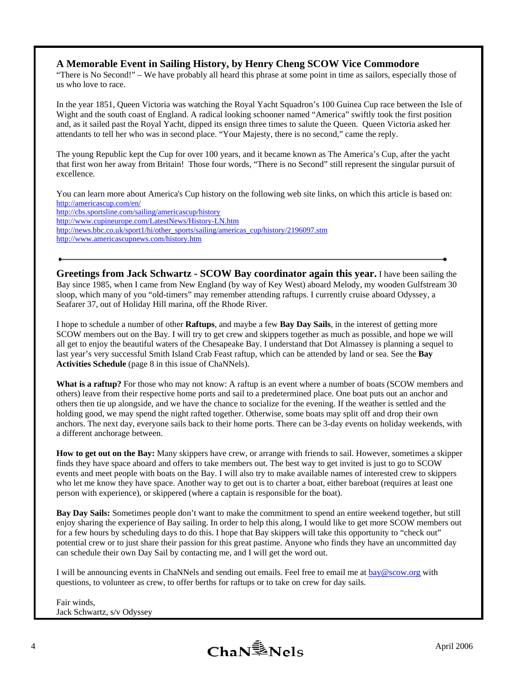#### **A Memorable Event in Sailing History, by Henry Cheng SCOW Vice Commodore**

"There is No Second!" – We have probably all heard this phrase at some point in time as sailors, especially those of us who love to race.

In the year 1851, Queen Victoria was watching the Royal Yacht Squadron's 100 Guinea Cup race between the Isle of Wight and the south coast of England. A radical looking schooner named "America" swiftly took the first position and, as it sailed past the Royal Yacht, dipped its ensign three times to salute the Queen. Queen Victoria asked her attendants to tell her who was in second place. "Your Majesty, there is no second," came the reply.

The young Republic kept the Cup for over 100 years, and it became known as The America's Cup, after the yacht that first won her away from Britain! Those four words, "There is no Second" still represent the singular pursuit of excellence.

You can learn more about America's Cup history on the following web site links, on which this article is based on: http://americascup.com/en/ http://cbs.sportsline.com/sailing/americascup/history http://www.cupineurope.com/LatestNews/History-LN.htm http://news.bbc.co.uk/sport1/hi/other\_sports/sailing/americas\_cup/history/2196097.stm http://www.americascupnews.com/history.htm

**Greetings from Jack Schwartz - SCOW Bay coordinator again this year.** I have been sailing the Bay since 1985, when I came from New England (by way of Key West) aboard Melody, my wooden Gulfstream 30 sloop, which many of you "old-timers" may remember attending raftups. I currently cruise aboard Odyssey, a Seafarer 37, out of Holiday Hill marina, off the Rhode River.

I hope to schedule a number of other **Raftups**, and maybe a few **Bay Day Sails**, in the interest of getting more SCOW members out on the Bay. I will try to get crew and skippers together as much as possible, and hope we will all get to enjoy the beautiful waters of the Chesapeake Bay. I understand that Dot Almassey is planning a sequel to last year's very successful Smith Island Crab Feast raftup, which can be attended by land or sea. See the **Bay Activities Schedule** (page 8 in this issue of ChaNNels).

**What is a raftup?** For those who may not know: A raftup is an event where a number of boats (SCOW members and others) leave from their respective home ports and sail to a predetermined place. One boat puts out an anchor and others then tie up alongside, and we have the chance to socialize for the evening. If the weather is settled and the holding good, we may spend the night rafted together. Otherwise, some boats may split off and drop their own anchors. The next day, everyone sails back to their home ports. There can be 3-day events on holiday weekends, with a different anchorage between.

**How to get out on the Bay:** Many skippers have crew, or arrange with friends to sail. However, sometimes a skipper finds they have space aboard and offers to take members out. The best way to get invited is just to go to SCOW events and meet people with boats on the Bay. I will also try to make available names of interested crew to skippers who let me know they have space. Another way to get out is to charter a boat, either bareboat (requires at least one person with experience), or skippered (where a captain is responsible for the boat).

**Bay Day Sails:** Sometimes people don't want to make the commitment to spend an entire weekend together, but still enjoy sharing the experience of Bay sailing. In order to help this along, I would like to get more SCOW members out for a few hours by scheduling days to do this. I hope that Bay skippers will take this opportunity to "check out" potential crew or to just share their passion for this great pastime. Anyone who finds they have an uncommitted day can schedule their own Day Sail by contacting me, and I will get the word out.

I will be announcing events in ChaNNels and sending out emails. Feel free to email me at  $\frac{bay@scow.org}{$  with questions, to volunteer as crew, to offer berths for raftups or to take on crew for day sails.

Fair winds, Jack Schwartz, s/v Odyssey

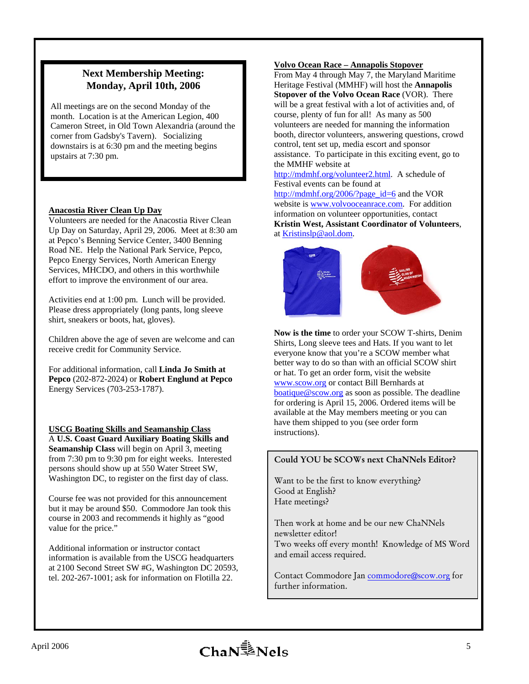#### **Next Membership Meeting: Monday, April 10th, 2006**

All meetings are on the second Monday of the month. Location is at the American Legion, 400 Cameron Street, in Old Town Alexandria (around the corner from Gadsby's Tavern). Socializing downstairs is at 6:30 pm and the meeting begins upstairs at 7:30 pm.

#### **Anacostia River Clean Up Day**

Volunteers are needed for the Anacostia River Clean Up Day on Saturday, April 29, 2006. Meet at 8:30 am at Pepco's Benning Service Center, 3400 Benning Road NE. Help the National Park Service, Pepco, Pepco Energy Services, North American Energy Services, MHCDO, and others in this worthwhile effort to improve the environment of our area.

Activities end at 1:00 pm. Lunch will be provided. Please dress appropriately (long pants, long sleeve shirt, sneakers or boots, hat, gloves).

Children above the age of seven are welcome and can receive credit for Community Service.

For additional information, call **Linda Jo Smith at Pepco** (202-872-2024) or **Robert Englund at Pepco** Energy Services (703-253-1787).

**USCG Boating Skills and Seamanship Class** A **U.S. Coast Guard Auxiliary Boating Skills and Seamanship Class** will begin on April 3, meeting from 7:30 pm to 9:30 pm for eight weeks. Interested persons should show up at 550 Water Street SW, Washington DC, to register on the first day of class.

Course fee was not provided for this announcement but it may be around \$50. Commodore Jan took this course in 2003 and recommends it highly as "good value for the price."

Additional information or instructor contact information is available from the USCG headquarters at 2100 Second Street SW #G, Washington DC 20593, tel. 202-267-1001; ask for information on Flotilla 22.

#### **Volvo Ocean Race – Annapolis Stopover**

From May 4 through May 7, the Maryland Maritime Heritage Festival (MMHF) will host the **Annapolis Stopover of the Volvo Ocean Race** (VOR). There will be a great festival with a lot of activities and, of course, plenty of fun for all! As many as 500 volunteers are needed for manning the information booth, director volunteers, answering questions, crowd control, tent set up, media escort and sponsor assistance. To participate in this exciting event, go to the MMHF website at

http://mdmhf.org/volunteer2.html. A schedule of Festival events can be found at

http://mdmhf.org/2006/?page\_id=6 and the VOR website is www.volvooceanrace.com. For addition information on volunteer opportunities, contact **Kristin West, Assistant Coordinator of Volunteers**, at Kristinslp@aol.dom.



**Now is the time** to order your SCOW T-shirts, Denim Shirts, Long sleeve tees and Hats. If you want to let everyone know that you're a SCOW member what better way to do so than with an official SCOW shirt or hat. To get an order form, visit the website www.scow.org or contact Bill Bernhards at boatique@scow.org as soon as possible. The deadline for ordering is April 15, 2006. Ordered items will be available at the May members meeting or you can have them shipped to you (see order form instructions).

#### Could YOU be SCOWs next ChaNNels Editor?

Want to be the first to know everything? Good at English? Hate meetings?

Then work at home and be our new ChaNNels newsletter editor! Two weeks off every month! Knowledge of MS Word and email access required.

Contact Commodore Jan commodore@scow.org for further information.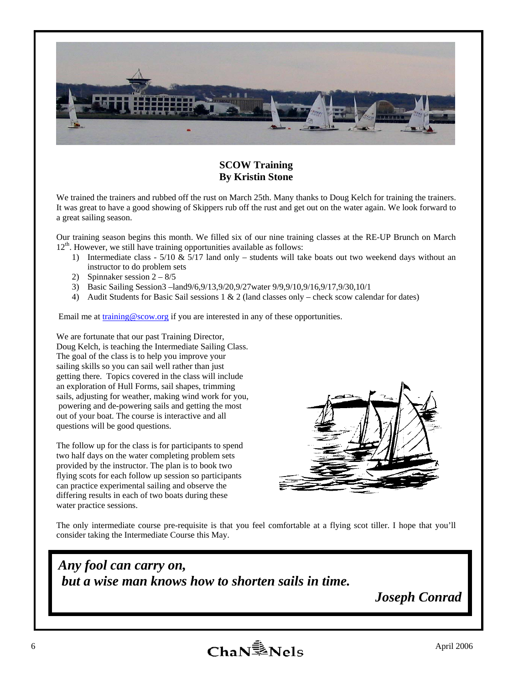

#### **SCOW Training By Kristin Stone**

We trained the trainers and rubbed off the rust on March 25th. Many thanks to Doug Kelch for training the trainers. It was great to have a good showing of Skippers rub off the rust and get out on the water again. We look forward to a great sailing season.

Our training season begins this month. We filled six of our nine training classes at the RE-UP Brunch on March 12<sup>th</sup>. However, we still have training opportunities available as follows:

- 1) Intermediate class  $5/10 \& 5/17$  land only students will take boats out two weekend days without an instructor to do problem sets
- 2) Spinnaker session  $2 8/5$
- 3) Basic Sailing Session3 –land9/6,9/13,9/20,9/27water 9/9,9/10,9/16,9/17,9/30,10/1
- 4) Audit Students for Basic Sail sessions 1 & 2 (land classes only check scow calendar for dates)

Email me at training  $@$  scow.org if you are interested in any of these opportunities.

We are fortunate that our past Training Director, Doug Kelch, is teaching the Intermediate Sailing Class. The goal of the class is to help you improve your sailing skills so you can sail well rather than just getting there. Topics covered in the class will include an exploration of Hull Forms, sail shapes, trimming sails, adjusting for weather, making wind work for you, powering and de-powering sails and getting the most out of your boat. The course is interactive and all questions will be good questions.

The follow up for the class is for participants to spend two half days on the water completing problem sets provided by the instructor. The plan is to book two flying scots for each follow up session so participants can practice experimental sailing and observe the differing results in each of two boats during these water practice sessions.



The only intermediate course pre-requisite is that you feel comfortable at a flying scot tiller. I hope that you'll consider taking the Intermediate Course this May.

## *Any fool can carry on, but a wise man knows how to shorten sails in time.*

 *Joseph Conrad*

6  $ChaN^{\frac{2}{3}}Nels$  April 2006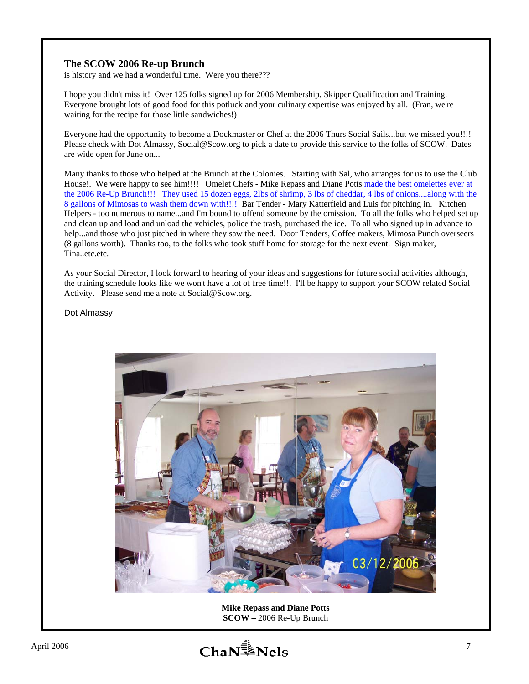#### **The SCOW 2006 Re-up Brunch**

is history and we had a wonderful time. Were you there???

I hope you didn't miss it! Over 125 folks signed up for 2006 Membership, Skipper Qualification and Training. Everyone brought lots of good food for this potluck and your culinary expertise was enjoyed by all. (Fran, we're waiting for the recipe for those little sandwiches!)

Everyone had the opportunity to become a Dockmaster or Chef at the 2006 Thurs Social Sails...but we missed you!!!! Please check with Dot Almassy, Social@Scow.org to pick a date to provide this service to the folks of SCOW. Dates are wide open for June on...

Many thanks to those who helped at the Brunch at the Colonies. Starting with Sal, who arranges for us to use the Club House!. We were happy to see him!!!! Omelet Chefs - Mike Repass and Diane Potts made the best omelettes ever at the 2006 Re-Up Brunch!!! They used 15 dozen eggs, 2lbs of shrimp, 3 lbs of cheddar, 4 lbs of onions....along with the 8 gallons of Mimosas to wash them down with!!!! Bar Tender - Mary Katterfield and Luis for pitching in. Kitchen Helpers - too numerous to name...and I'm bound to offend someone by the omission. To all the folks who helped set up and clean up and load and unload the vehicles, police the trash, purchased the ice. To all who signed up in advance to help...and those who just pitched in where they saw the need. Door Tenders, Coffee makers, Mimosa Punch overseers (8 gallons worth). Thanks too, to the folks who took stuff home for storage for the next event. Sign maker, Tina..etc.etc.

As your Social Director, I look forward to hearing of your ideas and suggestions for future social activities although, the training schedule looks like we won't have a lot of free time!!. I'll be happy to support your SCOW related Social Activity. Please send me a note at Social@Scow.org.

Dot Almassy



**Mike Repass and Diane Potts SCOW –** 2006 Re-Up Brunch

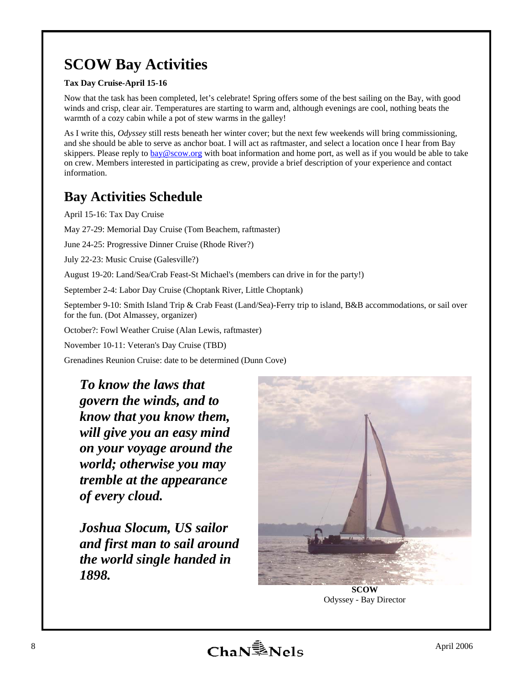## **SCOW Bay Activities**

#### **Tax Day Cruise-April 15-16**

Now that the task has been completed, let's celebrate! Spring offers some of the best sailing on the Bay, with good winds and crisp, clear air. Temperatures are starting to warm and, although evenings are cool, nothing beats the warmth of a cozy cabin while a pot of stew warms in the galley!

As I write this, *Odyssey* still rests beneath her winter cover; but the next few weekends will bring commissioning, and she should be able to serve as anchor boat. I will act as raftmaster, and select a location once I hear from Bay skippers. Please reply to bay@scow.org with boat information and home port, as well as if you would be able to take on crew. Members interested in participating as crew, provide a brief description of your experience and contact information.

## **Bay Activities Schedule**

April 15-16: Tax Day Cruise

May 27-29: Memorial Day Cruise (Tom Beachem, raftmaster)

June 24-25: Progressive Dinner Cruise (Rhode River?)

July 22-23: Music Cruise (Galesville?)

August 19-20: Land/Sea/Crab Feast-St Michael's (members can drive in for the party!)

September 2-4: Labor Day Cruise (Choptank River, Little Choptank)

September 9-10: Smith Island Trip & Crab Feast (Land/Sea)-Ferry trip to island, B&B accommodations, or sail over for the fun. (Dot Almassey, organizer)

October?: Fowl Weather Cruise (Alan Lewis, raftmaster)

November 10-11: Veteran's Day Cruise (TBD)

Grenadines Reunion Cruise: date to be determined (Dunn Cove)

*To know the laws that govern the winds, and to know that you know them, will give you an easy mind on your voyage around the world; otherwise you may tremble at the appearance of every cloud.* 

*Joshua Slocum, US sailor and first man to sail around the world single handed in 1898.* 



**SCOW**  Odyssey - Bay Director